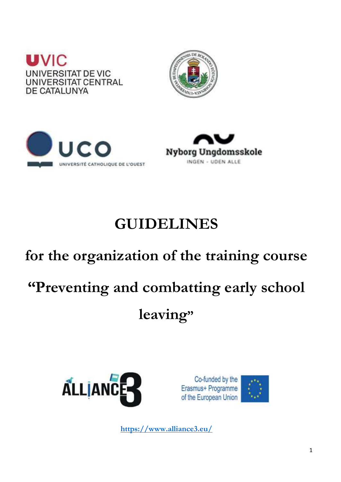







# **GUIDELINES**

# **for the organization of the training course "Preventing and combatting early school leaving"**



Co-funded by the Erasmus+ Programme of the European Union



**<https://www.alliance3.eu/>**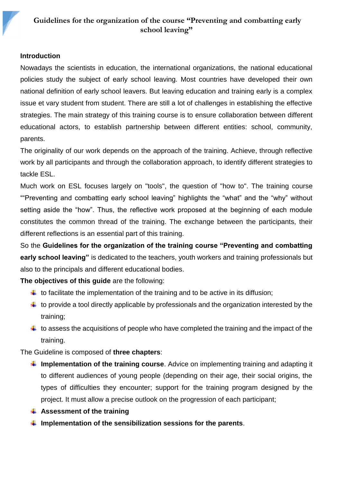#### **Introduction**

2

Nowadays the scientists in education, the international organizations, the national educational policies study the subject of early school leaving. Most countries have developed their own national definition of early school leavers. But leaving education and training early is a complex issue et vary student from student. There are still a lot of challenges in establishing the effective strategies. The main strategy of this training course is to ensure collaboration between different educational actors, to establish partnership between different entities: school, community, parents.

The originality of our work depends on the approach of the training. Achieve, through reflective work by all participants and through the collaboration approach, to identify different strategies to tackle ESL.

Much work on ESL focuses largely on "tools", the question of "how to". The training course ""Preventing and combatting early school leaving" highlights the "what" and the "why" without setting aside the "how". Thus, the reflective work proposed at the beginning of each module constitutes the common thread of the training. The exchange between the participants, their different reflections is an essential part of this training.

So the **Guidelines for the organization of the training course "Preventing and combatting early school leaving"** is dedicated to the teachers, youth workers and training professionals but also to the principals and different educational bodies.

**The objectives of this guide** are the following:

- $\ddot{+}$  to facilitate the implementation of the training and to be active in its diffusion;
- $\ddot{+}$  to provide a tool directly applicable by professionals and the organization interested by the training;
- $\ddot{+}$  to assess the acquisitions of people who have completed the training and the impact of the training.

The Guideline is composed of **three chapters**:

- **Implementation of the training course**. Advice on implementing training and adapting it to different audiences of young people (depending on their age, their social origins, the types of difficulties they encounter; support for the training program designed by the project. It must allow a precise outlook on the progression of each participant;
- **Assessment of the training**
- **Implementation of the sensibilization sessions for the parents**.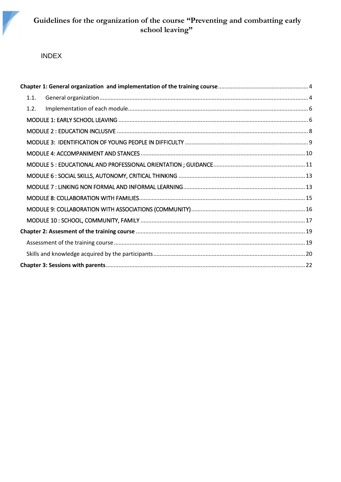

# INDEX

3

| 1.1. |  |
|------|--|
| 1.2. |  |
|      |  |
|      |  |
|      |  |
|      |  |
|      |  |
|      |  |
|      |  |
|      |  |
|      |  |
|      |  |
|      |  |
|      |  |
|      |  |
|      |  |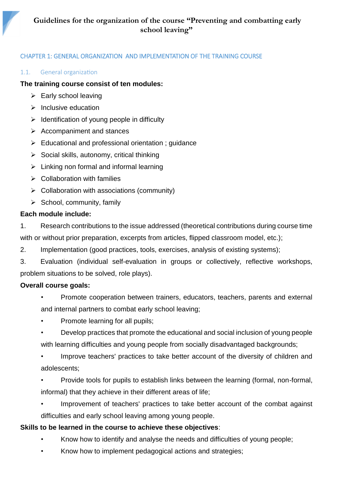# <span id="page-3-0"></span>CHAPTER 1: GENERAL ORGANIZATION AND IMPLEMENTATION OF THE TRAINING COURSE

#### <span id="page-3-1"></span>1.1. General organization

4

#### **The training course consist of ten modules:**

- $\triangleright$  Early school leaving
- $\triangleright$  Inclusive education
- $\triangleright$  Identification of young people in difficulty
- ➢ Accompaniment and stances
- ➢ Educational and professional orientation ; guidance
- $\triangleright$  Social skills, autonomy, critical thinking
- $\triangleright$  Linking non formal and informal learning
- ➢ Collaboration with families
- $\triangleright$  Collaboration with associations (community)
- $\triangleright$  School, community, family

#### **Each module include:**

1. Research contributions to the issue addressed (theoretical contributions during course time with or without prior preparation, excerpts from articles, flipped classroom model, etc.);

2. Implementation (good practices, tools, exercises, analysis of existing systems);

3. Evaluation (individual self-evaluation in groups or collectively, reflective workshops, problem situations to be solved, role plays).

#### **Overall course goals:**

- Promote cooperation between trainers, educators, teachers, parents and external and internal partners to combat early school leaving;
- Promote learning for all pupils;
- Develop practices that promote the educational and social inclusion of young people with learning difficulties and young people from socially disadvantaged backgrounds;
- Improve teachers' practices to take better account of the diversity of children and adolescents;
- Provide tools for pupils to establish links between the learning (formal, non-formal, informal) that they achieve in their different areas of life;
- Improvement of teachers' practices to take better account of the combat against difficulties and early school leaving among young people.

#### **Skills to be learned in the course to achieve these objectives**:

- Know how to identify and analyse the needs and difficulties of young people;
- Know how to implement pedagogical actions and strategies;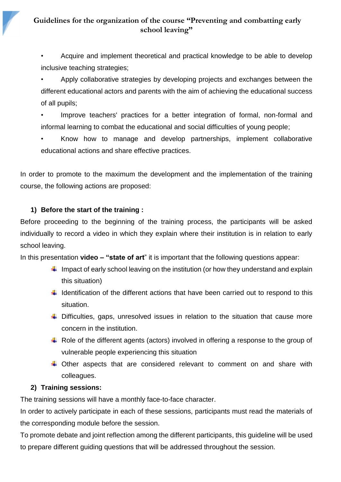# **Guidelines for the organization of the course "Preventing and combatting early school leaving"**

• Acquire and implement theoretical and practical knowledge to be able to develop inclusive teaching strategies;

• Apply collaborative strategies by developing projects and exchanges between the different educational actors and parents with the aim of achieving the educational success of all pupils;

Improve teachers' practices for a better integration of formal, non-formal and informal learning to combat the educational and social difficulties of young people;

• Know how to manage and develop partnerships, implement collaborative educational actions and share effective practices.

In order to promote to the maximum the development and the implementation of the training course, the following actions are proposed:

# **1) Before the start of the training :**

5

Before proceeding to the beginning of the training process, the participants will be asked individually to record a video in which they explain where their institution is in relation to early school leaving.

In this presentation **video – "state of art**" it is important that the following questions appear:

- $\downarrow$  Impact of early school leaving on the institution (or how they understand and explain this situation)
- $\ddot{\phantom{1}}$  Identification of the different actions that have been carried out to respond to this situation.
- $\ddot$  Difficulties, gaps, unresolved issues in relation to the situation that cause more concern in the institution.
- $\ddot{\phantom{1}}$  Role of the different agents (actors) involved in offering a response to the group of vulnerable people experiencing this situation
- $\ddot$  Other aspects that are considered relevant to comment on and share with colleagues.

#### **2) Training sessions:**

The training sessions will have a monthly face-to-face character.

In order to actively participate in each of these sessions, participants must read the materials of the corresponding module before the session.

To promote debate and joint reflection among the different participants, this guideline will be used to prepare different guiding questions that will be addressed throughout the session.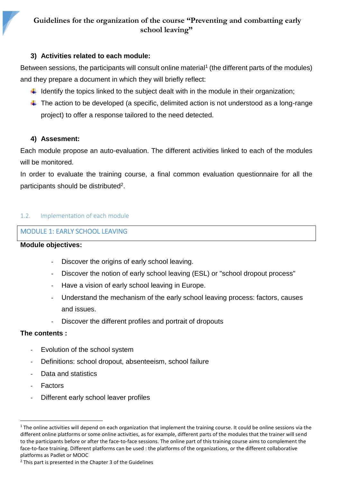# **3) Activities related to each module:**

Between sessions, the participants will consult online material<sup>1</sup> (the different parts of the modules) and they prepare a document in which they will briefly reflect:

- $\ddot{\phantom{1}}$  Identify the topics linked to the subject dealt with in the module in their organization;
- $\ddot$  The action to be developed (a specific, delimited action is not understood as a long-range project) to offer a response tailored to the need detected.

# **4) Assesment:**

6

Each module propose an auto-evaluation. The different activities linked to each of the modules will be monitored.

In order to evaluate the training course, a final common evaluation questionnaire for all the participants should be distributed<sup>2</sup>.

#### <span id="page-5-0"></span>1.2. Implementation of each module

# <span id="page-5-1"></span>MODULE 1: EARLY SCHOOL LEAVING

#### **Module objectives:**

- Discover the origins of early school leaving.
- Discover the notion of early school leaving (ESL) or "school dropout process"
- Have a vision of early school leaving in Europe.
- Understand the mechanism of the early school leaving process: factors, causes and issues.
- Discover the different profiles and portrait of dropouts

#### **The contents :**

- Evolution of the school system
- Definitions: school dropout, absenteeism, school failure
- Data and statistics
- **Factors**

 $\overline{\phantom{a}}$ 

Different early school leaver profiles

 $1$  The online activities will depend on each organization that implement the training course. It could be online sessions via the different online platforms or some online activities, as for example, different parts of the modules that the trainer will send to the participants before or after the face-to-face sessions. The online part of this training course aims to complement the face-to-face training. Different platforms can be used : the platforms of the organizations, or the different collaborative platforms as Padlet or MOOC

<sup>&</sup>lt;sup>2</sup> This part is presented in the Chapter 3 of the Guidelines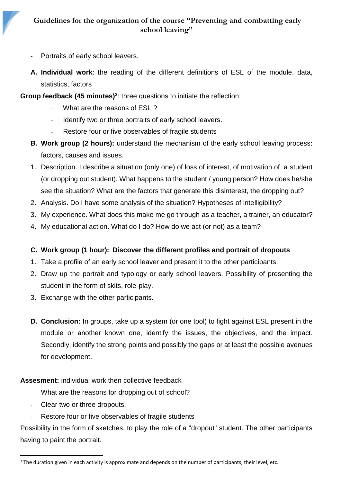Portraits of early school leavers.

7

- **A. Individual work**: the reading of the different definitions of ESL of the module, data, statistics, factors
- **Group feedback (45 minutes)<sup>3</sup>** : three questions to initiate the reflection:
	- What are the reasons of ESL ?
	- Identify two or three portraits of early school leavers.
	- Restore four or five observables of fragile students
	- **B. Work group (2 hours):** understand the mechanism of the early school leaving process: factors, causes and issues.
	- 1. Description. I describe a situation (only one) of loss of interest, of motivation of a student (or dropping out student). What happens to the student / young person? How does he/she see the situation? What are the factors that generate this disinterest, the dropping out?
	- 2. Analysis. Do I have some analysis of the situation? Hypotheses of intelligibility?
	- 3. My experience. What does this make me go through as a teacher, a trainer, an educator?
	- 4. My educational action. What do I do? How do we act (or not) as a team?

# **C. Work group (1 hour): Discover the different profiles and portrait of dropouts**

- 1. Take a profile of an early school leaver and present it to the other participants.
- 2. Draw up the portrait and typology or early school leavers. Possibility of presenting the student in the form of skits, role-play.
- 3. Exchange with the other participants.
- **D. Conclusion:** In groups, take up a system (or one tool) to fight against ESL present in the module or another known one, identify the issues, the objectives, and the impact. Secondly, identify the strong points and possibly the gaps or at least the possible avenues for development.

**Assesment:** individual work then collective feedback

- What are the reasons for dropping out of school?
- Clear two or three dropouts.

 $\overline{a}$ 

Restore four or five observables of fragile students

Possibility in the form of sketches, to play the role of a "dropout" student. The other participants having to paint the portrait.

<sup>&</sup>lt;sup>3</sup> The duration given in each activity is approximate and depends on the number of participants, their level, etc.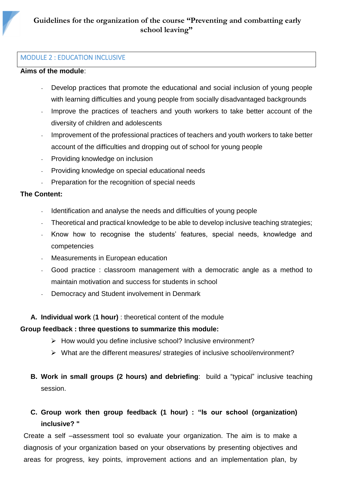#### <span id="page-7-0"></span>MODULE 2 : EDUCATION INCLUSIVE

#### **Aims of the module**:

8

- Develop practices that promote the educational and social inclusion of young people with learning difficulties and young people from socially disadvantaged backgrounds
- Improve the practices of teachers and youth workers to take better account of the diversity of children and adolescents
- Improvement of the professional practices of teachers and youth workers to take better account of the difficulties and dropping out of school for young people
- Providing knowledge on inclusion
- Providing knowledge on special educational needs
- Preparation for the recognition of special needs

#### **The Content:**

- Identification and analyse the needs and difficulties of young people
- Theoretical and practical knowledge to be able to develop inclusive teaching strategies;
- Know how to recognise the students' features, special needs, knowledge and competencies
- Measurements in European education
- Good practice : classroom management with a democratic angle as a method to maintain motivation and success for students in school
- Democracy and Student involvement in Denmark

#### **A. Individual work** (**1 hour)** : theoretical content of the module

#### **Group feedback : three questions to summarize this module:**

- ➢ How would you define inclusive school? Inclusive environment?
- ➢ What are the different measures/ strategies of inclusive school/environment?
- **B. Work in small groups (2 hours) and debriefing**: build a "typical" inclusive teaching session.

# **C. Group work then group feedback (1 hour) : "Is our school (organization) inclusive? "**

Create a self –assessment tool so evaluate your organization. The aim is to make a diagnosis of your organization based on your observations by presenting objectives and areas for progress, key points, improvement actions and an implementation plan, by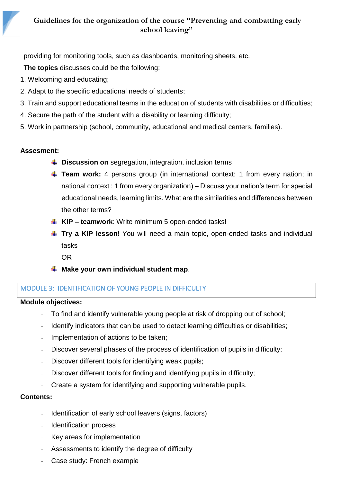providing for monitoring tools, such as dashboards, monitoring sheets, etc.

**The topics** discusses could be the following:

- 1. Welcoming and educating;
- 2. Adapt to the specific educational needs of students;
- 3. Train and support educational teams in the education of students with disabilities or difficulties;
- 4. Secure the path of the student with a disability or learning difficulty;
- 5. Work in partnership (school, community, educational and medical centers, families).

# **Assesment:**

9

- $\downarrow$  **Discussion on** segregation, integration, inclusion terms
- **Team work:** 4 persons group (in international context: 1 from every nation; in national context : 1 from every organization) – Discuss your nation's term for special educational needs, learning limits. What are the similarities and differences between the other terms?
- **KIP – teamwork**: Write minimum 5 open-ended tasks!
- **Try a KIP lesson**! You will need a main topic, open-ended tasks and individual tasks
	- OR
- **Make your own individual student map**.

# <span id="page-8-0"></span>MODULE 3: IDENTIFICATION OF YOUNG PEOPLE IN DIFFICULTY

#### **Module objectives:**

- To find and identify vulnerable young people at risk of dropping out of school;
- Identify indicators that can be used to detect learning difficulties or disabilities;
- Implementation of actions to be taken;
- Discover several phases of the process of identification of pupils in difficulty;
- Discover different tools for identifying weak pupils;
- Discover different tools for finding and identifying pupils in difficulty;
- Create a system for identifying and supporting vulnerable pupils.

#### **Contents:**

- Identification of early school leavers (signs, factors)
- Identification process
- Key areas for implementation
- Assessments to identify the degree of difficulty
- Case study: French example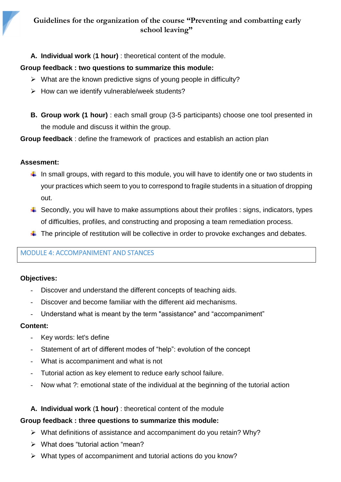**A. Individual work** (**1 hour)** : theoretical content of the module.

# **Group feedback : two questions to summarize this module:**

- ➢ What are the known predictive signs of young people in difficulty?
- $\triangleright$  How can we identify vulnerable/week students?
- **B. Group work (1 hour)** : each small group (3-5 participants) choose one tool presented in the module and discuss it within the group.

**Group feedback** : define the framework of practices and establish an action plan

# **Assesment:**

10

- $\downarrow$  In small groups, with regard to this module, you will have to identify one or two students in your practices which seem to you to correspond to fragile students in a situation of dropping out.
- $\ddot{+}$  Secondly, you will have to make assumptions about their profiles : signs, indicators, types of difficulties, profiles, and constructing and proposing a team remediation process.
- $\ddotplus$  The principle of restitution will be collective in order to provoke exchanges and debates.

# <span id="page-9-0"></span>MODULE 4: ACCOMPANIMENT AND STANCES

# **Objectives:**

- Discover and understand the different concepts of teaching aids.
- Discover and become familiar with the different aid mechanisms.
- Understand what is meant by the term "assistance" and "accompaniment"

# **Content:**

- Key words: let's define
- Statement of art of different modes of "help": evolution of the concept
- What is accompaniment and what is not
- Tutorial action as key element to reduce early school failure.
- Now what ?: emotional state of the individual at the beginning of the tutorial action
- **A. Individual work** (**1 hour)** : theoretical content of the module

# **Group feedback : three questions to summarize this module:**

- ➢ What definitions of assistance and accompaniment do you retain? Why?
- ➢ What does "tutorial action "mean?
- ➢ What types of accompaniment and tutorial actions do you know?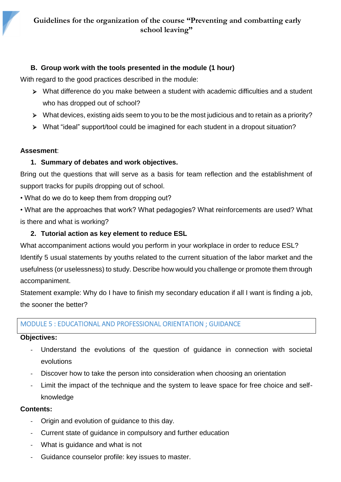# **B. Group work with the tools presented in the module (1 hour)**

With regard to the good practices described in the module:

- ➢ What difference do you make between a student with academic difficulties and a student who has dropped out of school?
- ➢ What devices, existing aids seem to you to be the most judicious and to retain as a priority?
- ➢ What "ideal" support/tool could be imagined for each student in a dropout situation?

# **Assesment**:

11

# **1. Summary of debates and work objectives.**

Bring out the questions that will serve as a basis for team reflection and the establishment of support tracks for pupils dropping out of school.

• What do we do to keep them from dropping out?

• What are the approaches that work? What pedagogies? What reinforcements are used? What is there and what is working?

# **2. Tutorial action as key element to reduce ESL**

What accompaniment actions would you perform in your workplace in order to reduce ESL? Identify 5 usual statements by youths related to the current situation of the labor market and the usefulness (or uselessness) to study. Describe how would you challenge or promote them through accompaniment.

Statement example: Why do I have to finish my secondary education if all I want is finding a job, the sooner the better?

# <span id="page-10-0"></span>MODULE 5 : EDUCATIONAL AND PROFESSIONAL ORIENTATION ; GUIDANCE

# **Objectives:**

- Understand the evolutions of the question of guidance in connection with societal evolutions
- Discover how to take the person into consideration when choosing an orientation
- Limit the impact of the technique and the system to leave space for free choice and selfknowledge

# **Contents:**

- Origin and evolution of guidance to this day.
- Current state of guidance in compulsory and further education
- What is guidance and what is not
- Guidance counselor profile: key issues to master.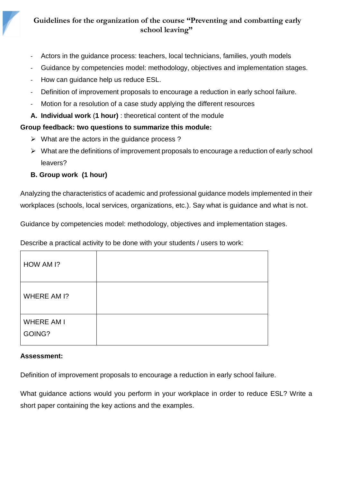- Actors in the guidance process: teachers, local technicians, families, youth models
- Guidance by competencies model: methodology, objectives and implementation stages.
- How can guidance help us reduce ESL.
- Definition of improvement proposals to encourage a reduction in early school failure.
- Motion for a resolution of a case study applying the different resources
- **A. Individual work** (**1 hour)** : theoretical content of the module

# **Group feedback: two questions to summarize this module:**

- $\triangleright$  What are the actors in the guidance process?
- ➢ What are the definitions of improvement proposals to encourage a reduction of early school leavers?
- **B. Group work (1 hour)**

12

Analyzing the characteristics of academic and professional guidance models implemented in their workplaces (schools, local services, organizations, etc.). Say what is guidance and what is not.

Guidance by competencies model: methodology, objectives and implementation stages.

Describe a practical activity to be done with your students / users to work:

| HOW AM I?                   |  |
|-----------------------------|--|
| WHERE AM I?                 |  |
| <b>WHERE AM I</b><br>GOING? |  |
|                             |  |

#### **Assessment:**

Definition of improvement proposals to encourage a reduction in early school failure.

What guidance actions would you perform in your workplace in order to reduce ESL? Write a short paper containing the key actions and the examples.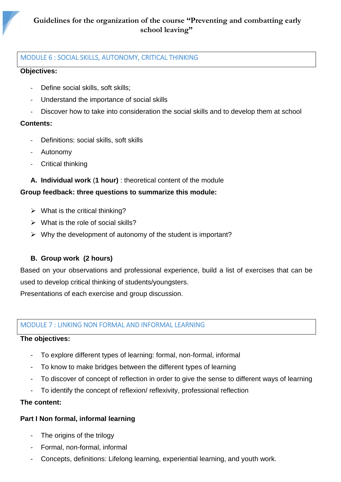# <span id="page-12-0"></span>MODULE 6 : SOCIAL SKILLS, AUTONOMY, CRITICAL THINKING

#### **Objectives:**

13

- Define social skills, soft skills;
- Understand the importance of social skills
- Discover how to take into consideration the social skills and to develop them at school

# **Contents:**

- Definitions: social skills, soft skills
- Autonomy
- Critical thinking
- **A. Individual work** (**1 hour)** : theoretical content of the module

# **Group feedback: three questions to summarize this module:**

- $\triangleright$  What is the critical thinking?
- $\triangleright$  What is the role of social skills?
- ➢ Why the development of autonomy of the student is important?

# **B. Group work (2 hours)**

Based on your observations and professional experience, build a list of exercises that can be used to develop critical thinking of students/youngsters.

Presentations of each exercise and group discussion.

# <span id="page-12-1"></span>MODULE 7 : LINKING NON FORMAL AND INFORMAL LEARNING

# **The objectives:**

- To explore different types of learning: formal, non-formal, informal
- To know to make bridges between the different types of learning
- To discover of concept of reflection in order to give the sense to different ways of learning
- To identify the concept of reflexion/ reflexivity, professional reflection

#### **The content:**

# **Part I Non formal, informal learning**

- The origins of the trilogy
- Formal, non-formal, informal
- Concepts, definitions: Lifelong learning, experiential learning, and youth work.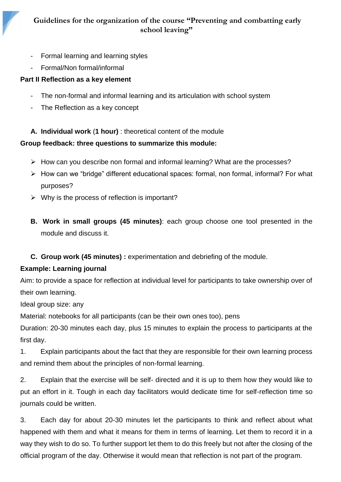# **Guidelines for the organization of the course "Preventing and combatting early school leaving"**

- Formal learning and learning styles
- Formal/Non formal/informal

14

# **Part II Reflection as a key element**

- The non-formal and informal learning and its articulation with school system
- The Reflection as a key concept

**A. Individual work** (**1 hour)** : theoretical content of the module

# **Group feedback: three questions to summarize this module:**

- ➢ How can you describe non formal and informal learning? What are the processes?
- ➢ How can we "bridge" different educational spaces: formal, non formal, informal? For what purposes?
- $\triangleright$  Why is the process of reflection is important?
- **B. Work in small groups (45 minutes)**: each group choose one tool presented in the module and discuss it.

# **C. Group work (45 minutes) :** experimentation and debriefing of the module.

# **Example: Learning journal**

Aim: to provide a space for reflection at individual level for participants to take ownership over of their own learning.

Ideal group size: any

Material: notebooks for all participants (can be their own ones too), pens

Duration: 20-30 minutes each day, plus 15 minutes to explain the process to participants at the first day.

1. Explain participants about the fact that they are responsible for their own learning process and remind them about the principles of non-formal learning.

2. Explain that the exercise will be self- directed and it is up to them how they would like to put an effort in it. Tough in each day facilitators would dedicate time for self-reflection time so journals could be written.

3. Each day for about 20-30 minutes let the participants to think and reflect about what happened with them and what it means for them in terms of learning. Let them to record it in a way they wish to do so. To further support let them to do this freely but not after the closing of the official program of the day. Otherwise it would mean that reflection is not part of the program.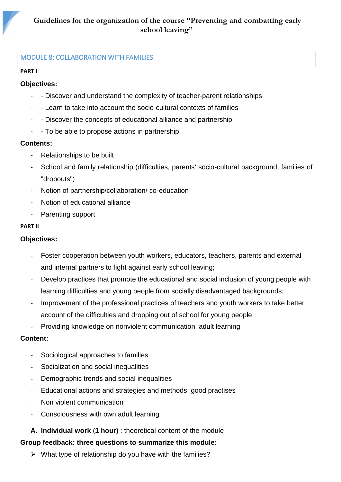#### <span id="page-14-0"></span>MODULE 8: COLLABORATION WITH FAMILIES

#### **PART I**

15

#### **Objectives:**

- Discover and understand the complexity of teacher-parent relationships
- - Learn to take into account the socio-cultural contexts of families
- - Discover the concepts of educational alliance and partnership
- - To be able to propose actions in partnership

#### **Contents:**

- Relationships to be built
- School and family relationship (difficulties, parents' socio-cultural background, families of "dropouts")
- Notion of partnership/collaboration/ co-education
- Notion of educational alliance
- Parenting support

#### **PART II**

### **Objectives:**

- Foster cooperation between youth workers, educators, teachers, parents and external and internal partners to fight against early school leaving;
- Develop practices that promote the educational and social inclusion of young people with learning difficulties and young people from socially disadvantaged backgrounds;
- Improvement of the professional practices of teachers and youth workers to take better account of the difficulties and dropping out of school for young people.
- Providing knowledge on nonviolent communication, adult learning

#### **Content:**

- Sociological approaches to families
- Socialization and social inequalities
- Demographic trends and social inequalities
- Educational actions and strategies and methods, good practises
- Non violent communication
- Consciousness with own adult learning
- **A. Individual work** (**1 hour)** : theoretical content of the module

#### **Group feedback: three questions to summarize this module:**

 $\triangleright$  What type of relationship do you have with the families?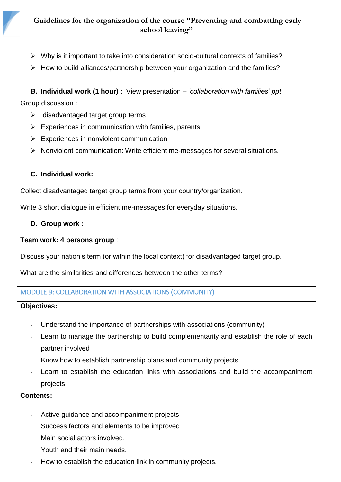- ➢ Why is it important to take into consideration socio-cultural contexts of families?
- ➢ How to build alliances/partnership between your organization and the families?

**B. Individual work (1 hour) :** View presentation – *'collaboration with families' ppt* Group discussion :

- $\triangleright$  disadvantaged target group terms
- $\triangleright$  Experiences in communication with families, parents
- $\triangleright$  Experiences in nonviolent communication
- ➢ Nonviolent communication: Write efficient me-messages for several situations.

# **C. Individual work:**

16

Collect disadvantaged target group terms from your country/organization.

Write 3 short dialogue in efficient me-messages for everyday situations.

#### **D. Group work :**

# **Team work: 4 persons group** :

Discuss your nation's term (or within the local context) for disadvantaged target group.

What are the similarities and differences between the other terms?

# <span id="page-15-0"></span>MODULE 9: COLLABORATION WITH ASSOCIATIONS (COMMUNITY)

#### **Objectives:**

- Understand the importance of partnerships with associations (community)
- Learn to manage the partnership to build complementarity and establish the role of each partner involved
- Know how to establish partnership plans and community projects
- Learn to establish the education links with associations and build the accompaniment projects

#### **Contents:**

- Active guidance and accompaniment projects
- Success factors and elements to be improved
- Main social actors involved.
- Youth and their main needs.
- How to establish the education link in community projects.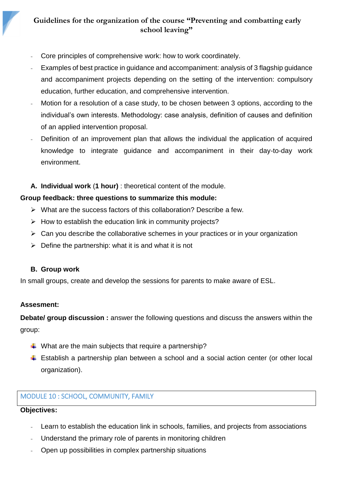- Core principles of comprehensive work: how to work coordinately.
- Examples of best practice in guidance and accompaniment: analysis of 3 flagship guidance and accompaniment projects depending on the setting of the intervention: compulsory education, further education, and comprehensive intervention.
- Motion for a resolution of a case study, to be chosen between 3 options, according to the individual's own interests. Methodology: case analysis, definition of causes and definition of an applied intervention proposal.
- Definition of an improvement plan that allows the individual the application of acquired knowledge to integrate guidance and accompaniment in their day-to-day work environment.
- **A. Individual work** (**1 hour)** : theoretical content of the module.

# **Group feedback: three questions to summarize this module:**

- ➢ What are the success factors of this collaboration? Describe a few.
- $\triangleright$  How to establish the education link in community projects?
- $\triangleright$  Can you describe the collaborative schemes in your practices or in your organization
- $\triangleright$  Define the partnership: what it is and what it is not

#### **B. Group work**

In small groups, create and develop the sessions for parents to make aware of ESL.

# **Assesment:**

17

**Debate/ group discussion :** answer the following questions and discuss the answers within the group:

- $\downarrow$  What are the main subjects that require a partnership?
- $\ddot{\phantom{1}}$  Establish a partnership plan between a school and a social action center (or other local organization).

# <span id="page-16-0"></span>MODULE 10 : SCHOOL, COMMUNITY, FAMILY

# **Objectives:**

- Learn to establish the education link in schools, families, and projects from associations
- Understand the primary role of parents in monitoring children
- Open up possibilities in complex partnership situations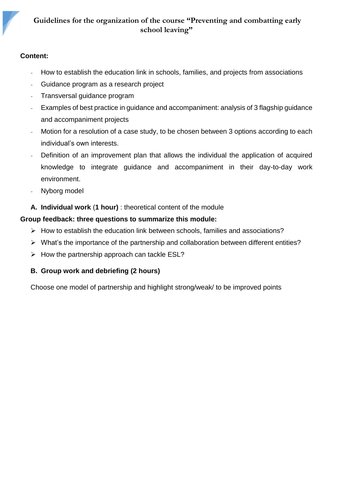# **Guidelines for the organization of the course "Preventing and combatting early school leaving"**

### **Content:**

18

- How to establish the education link in schools, families, and projects from associations
- Guidance program as a research project
- Transversal guidance program
- Examples of best practice in guidance and accompaniment: analysis of 3 flagship guidance and accompaniment projects
- Motion for a resolution of a case study, to be chosen between 3 options according to each individual's own interests.
- Definition of an improvement plan that allows the individual the application of acquired knowledge to integrate guidance and accompaniment in their day-to-day work environment.
- Nyborg model
- **A. Individual work** (**1 hour)** : theoretical content of the module

# **Group feedback: three questions to summarize this module:**

- ➢ How to establish the education link between schools, families and associations?
- ➢ What's the importance of the partnership and collaboration between different entities?
- $\triangleright$  How the partnership approach can tackle ESL?

# **B. Group work and debriefing (2 hours)**

Choose one model of partnership and highlight strong/weak/ to be improved points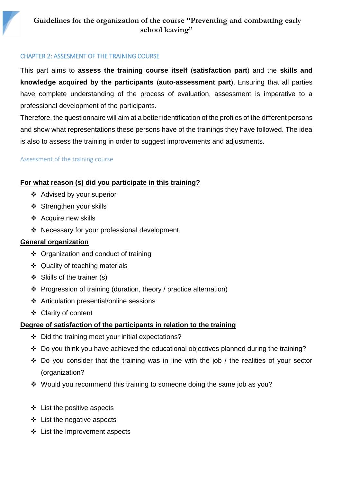#### <span id="page-18-0"></span>CHAPTER 2: ASSESMENT OF THE TRAINING COURSE

This part aims to **assess the training course itself** (**satisfaction part**) and the **skills and knowledge acquired by the participants** (**auto-assessment part**). Ensuring that all parties have complete understanding of the process of evaluation, assessment is imperative to a professional development of the participants.

Therefore, the questionnaire will aim at a better identification of the profiles of the different persons and show what representations these persons have of the trainings they have followed. The idea is also to assess the training in order to suggest improvements and adjustments.

#### <span id="page-18-1"></span>Assessment of the training course

19

# **For what reason (s) did you participate in this training?**

- ❖ Advised by your superior
- ❖ Strengthen your skills
- ❖ Acquire new skills
- ❖ Necessary for your professional development

#### **General organization**

- ❖ Organization and conduct of training
- ❖ Quality of teaching materials
- ❖ Skills of the trainer (s)
- ❖ Progression of training (duration, theory / practice alternation)
- ❖ Articulation presential/online sessions
- ❖ Clarity of content

#### **Degree of satisfaction of the participants in relation to the training**

- ❖ Did the training meet your initial expectations?
- ❖ Do you think you have achieved the educational objectives planned during the training?
- ❖ Do you consider that the training was in line with the job / the realities of your sector (organization?
- ❖ Would you recommend this training to someone doing the same job as you?
- ❖ List the positive aspects
- ❖ List the negative aspects
- ❖ List the Improvement aspects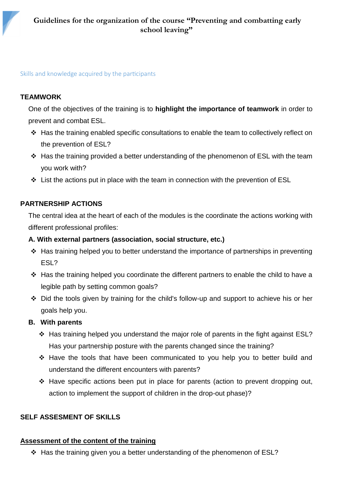### <span id="page-19-0"></span>Skills and knowledge acquired by the participants

# **TEAMWORK**

20

One of the objectives of the training is to **highlight the importance of teamwork** in order to prevent and combat ESL.

- ❖ Has the training enabled specific consultations to enable the team to collectively reflect on the prevention of ESL?
- ❖ Has the training provided a better understanding of the phenomenon of ESL with the team you work with?
- ❖ List the actions put in place with the team in connection with the prevention of ESL

# **PARTNERSHIP ACTIONS**

The central idea at the heart of each of the modules is the coordinate the actions working with different professional profiles:

### **A. With external partners (association, social structure, etc.)**

- ❖ Has training helped you to better understand the importance of partnerships in preventing ESL?
- ❖ Has the training helped you coordinate the different partners to enable the child to have a legible path by setting common goals?
- ❖ Did the tools given by training for the child's follow-up and support to achieve his or her goals help you.

#### **B. With parents**

- ❖ Has training helped you understand the major role of parents in the fight against ESL? Has your partnership posture with the parents changed since the training?
- ❖ Have the tools that have been communicated to you help you to better build and understand the different encounters with parents?
- ❖ Have specific actions been put in place for parents (action to prevent dropping out, action to implement the support of children in the drop-out phase)?

# **SELF ASSESMENT OF SKILLS**

#### **Assessment of the content of the training**

❖ Has the training given you a better understanding of the phenomenon of ESL?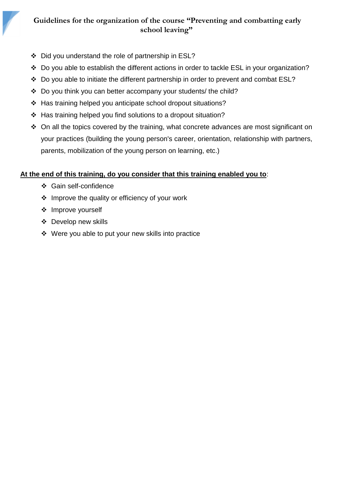# **Guidelines for the organization of the course "Preventing and combatting early school leaving"**

- ❖ Did you understand the role of partnership in ESL?
- ❖ Do you able to establish the different actions in order to tackle ESL in your organization?
- ❖ Do you able to initiate the different partnership in order to prevent and combat ESL?
- ❖ Do you think you can better accompany your students/ the child?
- ❖ Has training helped you anticipate school dropout situations?
- ❖ Has training helped you find solutions to a dropout situation?
- ❖ On all the topics covered by the training, what concrete advances are most significant on your practices (building the young person's career, orientation, relationship with partners, parents, mobilization of the young person on learning, etc.)

# **At the end of this training, do you consider that this training enabled you to**:

- ❖ Gain self-confidence
- ❖ Improve the quality or efficiency of your work
- ❖ Improve yourself

21

- ❖ Develop new skills
- ❖ Were you able to put your new skills into practice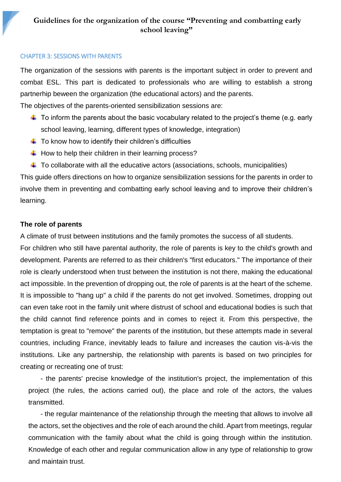#### <span id="page-21-0"></span>CHAPTER 3: SESSIONS WITH PARENTS

22

The organization of the sessions with parents is the important subject in order to prevent and combat ESL. This part is dedicated to professionals who are willing to establish a strong partnerhip beween the organization (the educational actors) and the parents.

The objectives of the parents-oriented sensibilization sessions are:

- $\ddot{\phantom{1}}$  To inform the parents about the basic vocabulary related to the project's theme (e.g. early school leaving, learning, different types of knowledge, integration)
- $\ddot{\phantom{1}}$  To know how to identify their children's difficulties
- $\ddot{\text{+}}$  How to help their children in their learning process?
- $\ddotplus$  To collaborate with all the educative actors (associations, schools, municipalities)

This guide offers directions on how to organize sensibilization sessions for the parents in order to involve them in preventing and combatting early school leaving and to improve their children's learning.

# **The role of parents**

A climate of trust between institutions and the family promotes the success of all students.

For children who still have parental authority, the role of parents is key to the child's growth and development. Parents are referred to as their children's "first educators." The importance of their role is clearly understood when trust between the institution is not there, making the educational act impossible. In the prevention of dropping out, the role of parents is at the heart of the scheme. It is impossible to "hang up" a child if the parents do not get involved. Sometimes, dropping out can even take root in the family unit where distrust of school and educational bodies is such that the child cannot find reference points and in comes to reject it. From this perspective, the temptation is great to "remove" the parents of the institution, but these attempts made in several countries, including France, inevitably leads to failure and increases the caution vis-à-vis the institutions. Like any partnership, the relationship with parents is based on two principles for creating or recreating one of trust:

- the parents' precise knowledge of the institution's project, the implementation of this project (the rules, the actions carried out), the place and role of the actors, the values transmitted.

- the regular maintenance of the relationship through the meeting that allows to involve all the actors, set the objectives and the role of each around the child. Apart from meetings, regular communication with the family about what the child is going through within the institution. Knowledge of each other and regular communication allow in any type of relationship to grow and maintain trust.